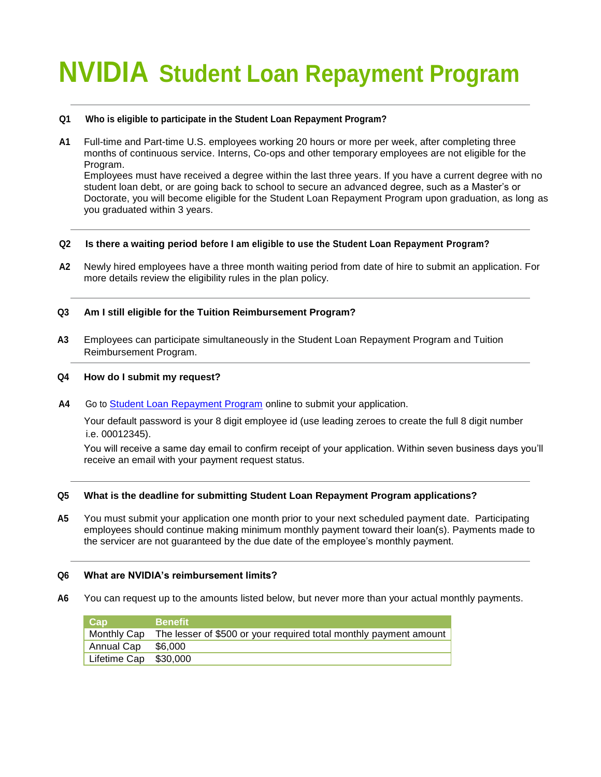# **NVIDIA Student Loan Repayment Program**

# **Q1 Who is eligible to participate in the Student Loan Repayment Program?**

**A1** Full-time and Part-time U.S. employees working 20 hours or more per week, after completing three months of continuous service. Interns, Co-ops and other temporary employees are not eligible for the Program.

Employees must have received a degree within the last three years. If you have a current degree with no student loan debt, or are going back to school to secure an advanced degree, such as a Master's or Doctorate, you will become eligible for the Student Loan Repayment Program upon graduation, as long as you graduated within 3 years.

# **Q2 Is there a waiting period before I am eligible to use the Student Loan Repayment Program?**

**A2** Newly hired employees have a three month waiting period from date of hire to submit an application. For more details review the eligibility rules in the plan policy.

# **Q3 Am I still eligible for the Tuition Reimbursement Program?**

**A3** Employees can participate simultaneously in the Student Loan Repayment Program and Tuition Reimbursement Program.

# **Q4 How do I submit my request?**

**A4** Go to [Student Loan Repayment Program](https://tams4.tamsonline.org/TAMS4Web/login/nvidia) online to submit your application.

Your default password is your 8 digit employee id (use leading zeroes to create the full 8 digit number i.e. 00012345).

You will receive a same day email to confirm receipt of your application. Within seven business days you'll receive an email with your payment request status.

# **Q5 What is the deadline for submitting Student Loan Repayment Program applications?**

**A5** You must submit your application one month prior to your next scheduled payment date. Participating employees should continue making minimum monthly payment toward their loan(s). Payments made to the servicer are not guaranteed by the due date of the employee's monthly payment.

# **Q6 What are NVIDIA's reimbursement limits?**

**A6** You can request up to the amounts listed below, but never more than your actual monthly payments.

| Cap                   | <b>Benefit</b>                                                                |
|-----------------------|-------------------------------------------------------------------------------|
|                       | Monthly Cap The lesser of \$500 or your required total monthly payment amount |
| Annual Cap \$6,000    |                                                                               |
| Lifetime Cap \$30,000 |                                                                               |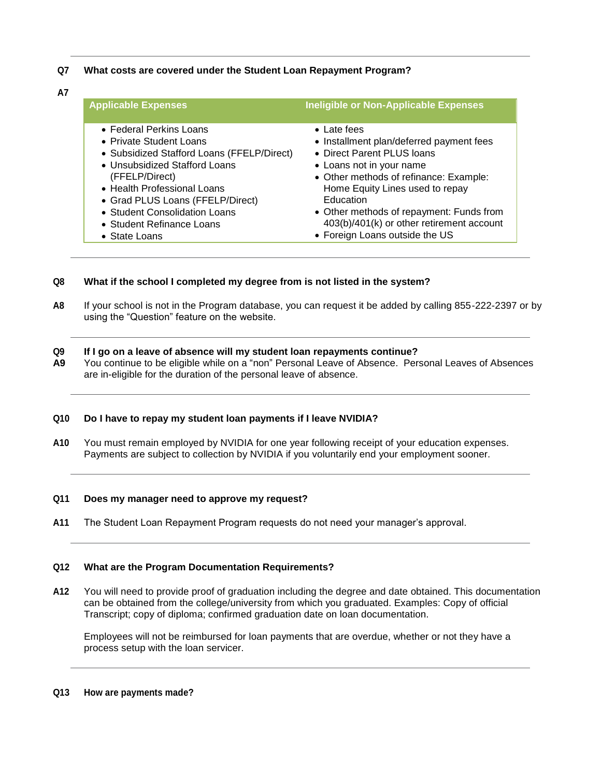# **Q7 What costs are covered under the Student Loan Repayment Program?**

**A7**

| <b>Applicable Expenses</b>                 | Ineligible or Non-Applicable Expenses     |
|--------------------------------------------|-------------------------------------------|
| • Federal Perkins Loans                    | $\bullet$ Late fees                       |
| • Private Student Loans                    | • Installment plan/deferred payment fees  |
| • Subsidized Stafford Loans (FFELP/Direct) | • Direct Parent PLUS Ioans                |
| • Unsubsidized Stafford Loans              | • Loans not in your name                  |
| (FFELP/Direct)                             | • Other methods of refinance: Example:    |
| • Health Professional Loans                | Home Equity Lines used to repay           |
| • Grad PLUS Loans (FFELP/Direct)           | Education                                 |
| • Student Consolidation Loans              | • Other methods of repayment: Funds from  |
| • Student Refinance Loans                  | 403(b)/401(k) or other retirement account |
| • State Loans                              | • Foreign Loans outside the US            |

# **Q8 What if the school I completed my degree from is not listed in the system?**

**A8** If your school is not in the Program database, you can request it be added by calling 855-222-2397 or by using the "Question" feature on the website.

#### **Q9 If I go on a leave of absence will my student loan repayments continue?**

**A9** You continue to be eligible while on a "non" Personal Leave of Absence. Personal Leaves of Absences are in-eligible for the duration of the personal leave of absence.

# **Q10 Do I have to repay my student loan payments if I leave NVIDIA?**

**A10** You must remain employed by NVIDIA for one year following receipt of your education expenses. Payments are subject to collection by NVIDIA if you voluntarily end your employment sooner.

## **Q11 Does my manager need to approve my request?**

**A11** The Student Loan Repayment Program requests do not need your manager's approval.

#### **Q12 What are the Program Documentation Requirements?**

**A12** You will need to provide proof of graduation including the degree and date obtained. This documentation can be obtained from the college/university from which you graduated. Examples: Copy of official Transcript; copy of diploma; confirmed graduation date on loan documentation.

Employees will not be reimbursed for loan payments that are overdue, whether or not they have a process setup with the loan servicer.